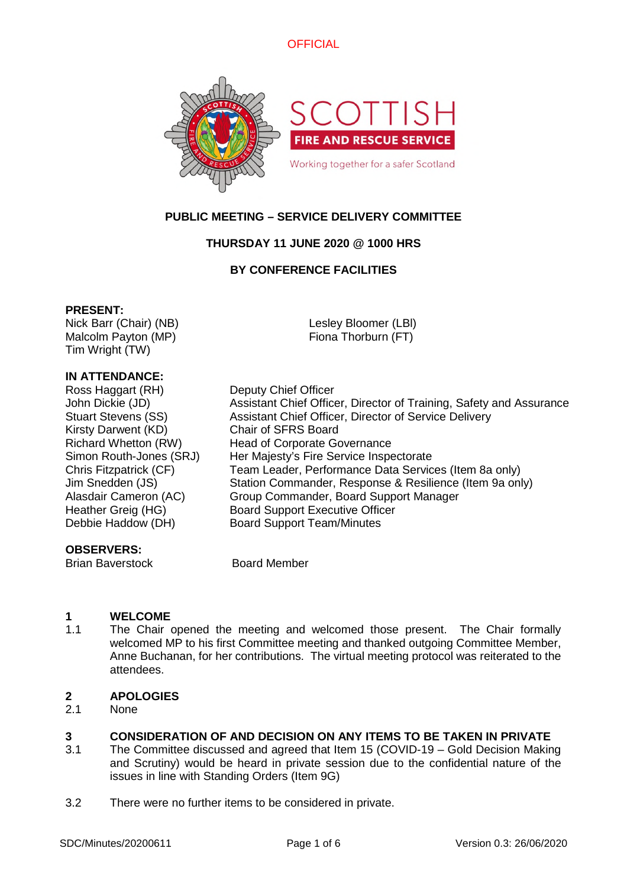



# **PUBLIC MEETING – SERVICE DELIVERY COMMITTEE**

# **THURSDAY 11 JUNE 2020 @ 1000 HRS**

# **BY CONFERENCE FACILITIES**

#### **PRESENT:**

Nick Barr (Chair) (NB) Malcolm Payton (MP) Tim Wright (TW)

Lesley Bloomer (LBl) Fiona Thorburn (FT)

# **IN ATTENDANCE:**

Ross Haggart (RH) Deputy Chief Officer Kirsty Darwent (KD) Chair of SFRS Board

#### **OBSERVERS:**

Brian Baverstock Board Member

John Dickie (JD) Assistant Chief Officer, Director of Training, Safety and Assurance Stuart Stevens (SS) Assistant Chief Officer, Director of Service Delivery Richard Whetton (RW) Head of Corporate Governance Simon Routh-Jones (SRJ) Her Majesty's Fire Service Inspectorate Chris Fitzpatrick (CF) Team Leader, Performance Data Services (Item 8a only) Jim Snedden (JS) Station Commander, Response & Resilience (Item 9a only) Alasdair Cameron (AC) Group Commander, Board Support Manager Heather Greig (HG) Board Support Executive Officer Debbie Haddow (DH) Board Support Team/Minutes

# **1 WELCOME**

1.1 The Chair opened the meeting and welcomed those present. The Chair formally welcomed MP to his first Committee meeting and thanked outgoing Committee Member, Anne Buchanan, for her contributions. The virtual meeting protocol was reiterated to the attendees.

# **2 APOLOGIES**

2.1 None

# **3 CONSIDERATION OF AND DECISION ON ANY ITEMS TO BE TAKEN IN PRIVATE**

- 3.1 The Committee discussed and agreed that Item 15 (COVID-19 – Gold Decision Making and Scrutiny) would be heard in private session due to the confidential nature of the issues in line with Standing Orders (Item 9G)
- 3.2 There were no further items to be considered in private.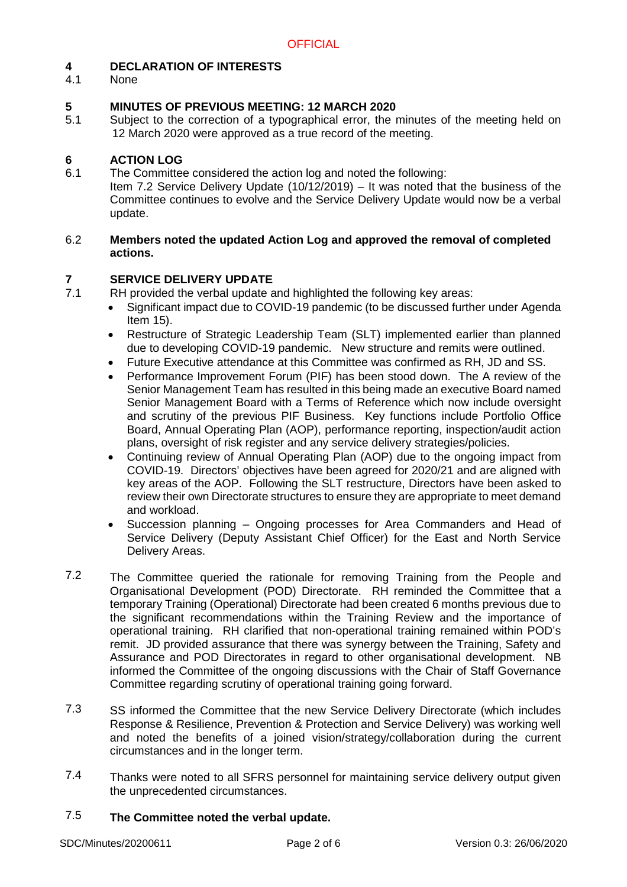# **4 DECLARATION OF INTERESTS**

4.1 None

#### **5 MINUTES OF PREVIOUS MEETING: 12 MARCH 2020**

5.1 Subject to the correction of a typographical error, the minutes of the meeting held on 12 March 2020 were approved as a true record of the meeting.

#### **6 ACTION LOG**

- 6.1 The Committee considered the action log and noted the following:
	- Item 7.2 Service Delivery Update (10/12/2019) It was noted that the business of the Committee continues to evolve and the Service Delivery Update would now be a verbal update.

#### 6.2 **Members noted the updated Action Log and approved the removal of completed actions.**

#### **7 SERVICE DELIVERY UPDATE**

- 7.1 RH provided the verbal update and highlighted the following key areas:
	- Significant impact due to COVID-19 pandemic (to be discussed further under Agenda Item 15).
	- Restructure of Strategic Leadership Team (SLT) implemented earlier than planned due to developing COVID-19 pandemic. New structure and remits were outlined.
	- Future Executive attendance at this Committee was confirmed as RH, JD and SS.
	- Performance Improvement Forum (PIF) has been stood down. The A review of the Senior Management Team has resulted in this being made an executive Board named Senior Management Board with a Terms of Reference which now include oversight and scrutiny of the previous PIF Business. Key functions include Portfolio Office Board, Annual Operating Plan (AOP), performance reporting, inspection/audit action plans, oversight of risk register and any service delivery strategies/policies.
	- Continuing review of Annual Operating Plan (AOP) due to the ongoing impact from COVID-19. Directors' objectives have been agreed for 2020/21 and are aligned with key areas of the AOP. Following the SLT restructure, Directors have been asked to review their own Directorate structures to ensure they are appropriate to meet demand and workload.
	- Succession planning Ongoing processes for Area Commanders and Head of Service Delivery (Deputy Assistant Chief Officer) for the East and North Service Delivery Areas.
- 7.2 The Committee queried the rationale for removing Training from the People and Organisational Development (POD) Directorate. RH reminded the Committee that a temporary Training (Operational) Directorate had been created 6 months previous due to the significant recommendations within the Training Review and the importance of operational training. RH clarified that non-operational training remained within POD's remit. JD provided assurance that there was synergy between the Training, Safety and Assurance and POD Directorates in regard to other organisational development. NB informed the Committee of the ongoing discussions with the Chair of Staff Governance Committee regarding scrutiny of operational training going forward.
- 7.3 SS informed the Committee that the new Service Delivery Directorate (which includes Response & Resilience, Prevention & Protection and Service Delivery) was working well and noted the benefits of a joined vision/strategy/collaboration during the current circumstances and in the longer term.
- 7.4 Thanks were noted to all SFRS personnel for maintaining service delivery output given the unprecedented circumstances.

#### 7.5 **The Committee noted the verbal update.**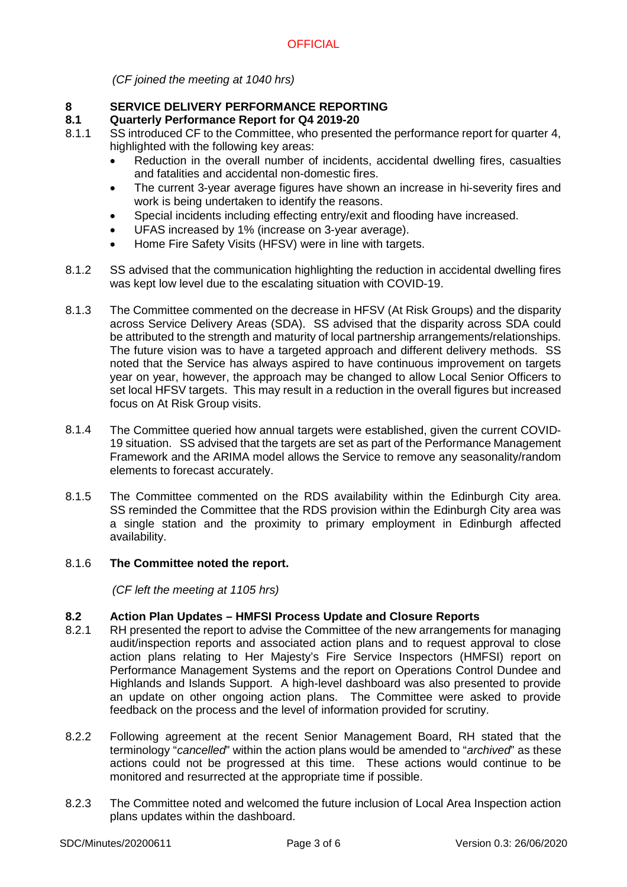*(CF joined the meeting at 1040 hrs)*

# **8 SERVICE DELIVERY PERFORMANCE REPORTING**

#### **8.1 Quarterly Performance Report for Q4 2019-20**

- 8.1.1 SS introduced CF to the Committee, who presented the performance report for quarter 4, highlighted with the following key areas:
	- Reduction in the overall number of incidents, accidental dwelling fires, casualties and fatalities and accidental non-domestic fires.
	- The current 3-year average figures have shown an increase in hi-severity fires and work is being undertaken to identify the reasons.
	- Special incidents including effecting entry/exit and flooding have increased.
	- UFAS increased by 1% (increase on 3-year average).
	- Home Fire Safety Visits (HFSV) were in line with targets.
- 8.1.2 SS advised that the communication highlighting the reduction in accidental dwelling fires was kept low level due to the escalating situation with COVID-19.
- 8.1.3 The Committee commented on the decrease in HFSV (At Risk Groups) and the disparity across Service Delivery Areas (SDA). SS advised that the disparity across SDA could be attributed to the strength and maturity of local partnership arrangements/relationships. The future vision was to have a targeted approach and different delivery methods. SS noted that the Service has always aspired to have continuous improvement on targets year on year, however, the approach may be changed to allow Local Senior Officers to set local HFSV targets. This may result in a reduction in the overall figures but increased focus on At Risk Group visits.
- 8.1.4 The Committee queried how annual targets were established, given the current COVID-19 situation. SS advised that the targets are set as part of the Performance Management Framework and the ARIMA model allows the Service to remove any seasonality/random elements to forecast accurately.
- 8.1.5 The Committee commented on the RDS availability within the Edinburgh City area. SS reminded the Committee that the RDS provision within the Edinburgh City area was a single station and the proximity to primary employment in Edinburgh affected availability.

#### 8.1.6 **The Committee noted the report.**

*(CF left the meeting at 1105 hrs)*

#### **8.2 Action Plan Updates – HMFSI Process Update and Closure Reports**

- 8.2.1 RH presented the report to advise the Committee of the new arrangements for managing audit/inspection reports and associated action plans and to request approval to close action plans relating to Her Majesty's Fire Service Inspectors (HMFSI) report on Performance Management Systems and the report on Operations Control Dundee and Highlands and Islands Support. A high-level dashboard was also presented to provide an update on other ongoing action plans. The Committee were asked to provide feedback on the process and the level of information provided for scrutiny.
- 8.2.2 Following agreement at the recent Senior Management Board, RH stated that the terminology "*cancelled*" within the action plans would be amended to "*archived*" as these actions could not be progressed at this time. These actions would continue to be monitored and resurrected at the appropriate time if possible.
- 8.2.3 The Committee noted and welcomed the future inclusion of Local Area Inspection action plans updates within the dashboard.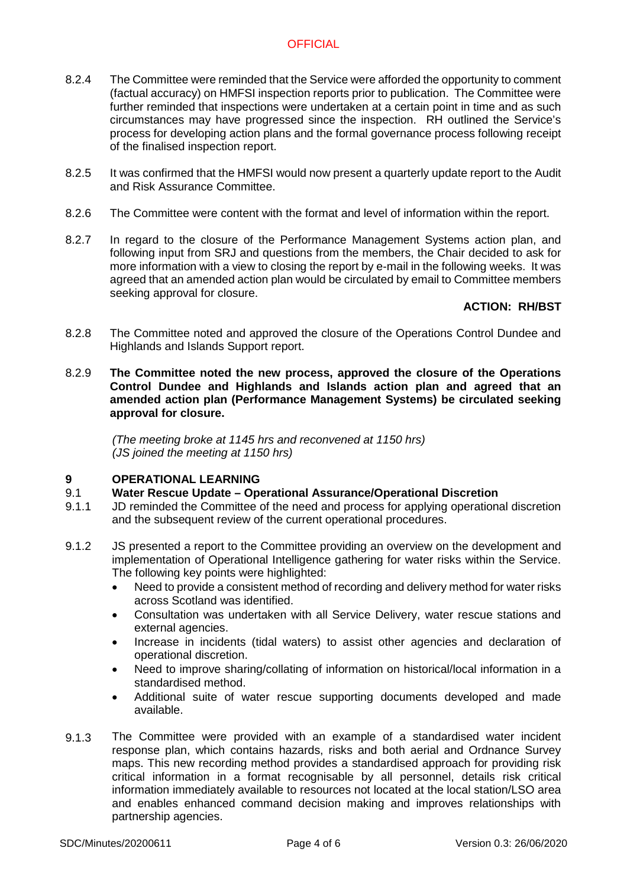# **OFFICIAL**

- 8.2.4 The Committee were reminded that the Service were afforded the opportunity to comment (factual accuracy) on HMFSI inspection reports prior to publication. The Committee were further reminded that inspections were undertaken at a certain point in time and as such circumstances may have progressed since the inspection. RH outlined the Service's process for developing action plans and the formal governance process following receipt of the finalised inspection report.
- 8.2.5 It was confirmed that the HMFSI would now present a quarterly update report to the Audit and Risk Assurance Committee.
- 8.2.6 The Committee were content with the format and level of information within the report.
- 8.2.7 In regard to the closure of the Performance Management Systems action plan, and following input from SRJ and questions from the members, the Chair decided to ask for more information with a view to closing the report by e-mail in the following weeks. It was agreed that an amended action plan would be circulated by email to Committee members seeking approval for closure.

# **ACTION: RH/BST**

- 8.2.8 The Committee noted and approved the closure of the Operations Control Dundee and Highlands and Islands Support report.
- 8.2.9 **The Committee noted the new process, approved the closure of the Operations Control Dundee and Highlands and Islands action plan and agreed that an amended action plan (Performance Management Systems) be circulated seeking approval for closure.**

*(The meeting broke at 1145 hrs and reconvened at 1150 hrs) (JS joined the meeting at 1150 hrs)*

# **9 OPERATIONAL LEARNING**

- 9.1 **Water Rescue Update – Operational Assurance/Operational Discretion**
- 9.1.1 JD reminded the Committee of the need and process for applying operational discretion and the subsequent review of the current operational procedures.
- 9.1.2 JS presented a report to the Committee providing an overview on the development and implementation of Operational Intelligence gathering for water risks within the Service. The following key points were highlighted:
	- Need to provide a consistent method of recording and delivery method for water risks across Scotland was identified.
	- Consultation was undertaken with all Service Delivery, water rescue stations and external agencies.
	- Increase in incidents (tidal waters) to assist other agencies and declaration of operational discretion.
	- Need to improve sharing/collating of information on historical/local information in a standardised method.
	- Additional suite of water rescue supporting documents developed and made available.
- 9.1.3 The Committee were provided with an example of a standardised water incident response plan, which contains hazards, risks and both aerial and Ordnance Survey maps. This new recording method provides a standardised approach for providing risk critical information in a format recognisable by all personnel, details risk critical information immediately available to resources not located at the local station/LSO area and enables enhanced command decision making and improves relationships with partnership agencies.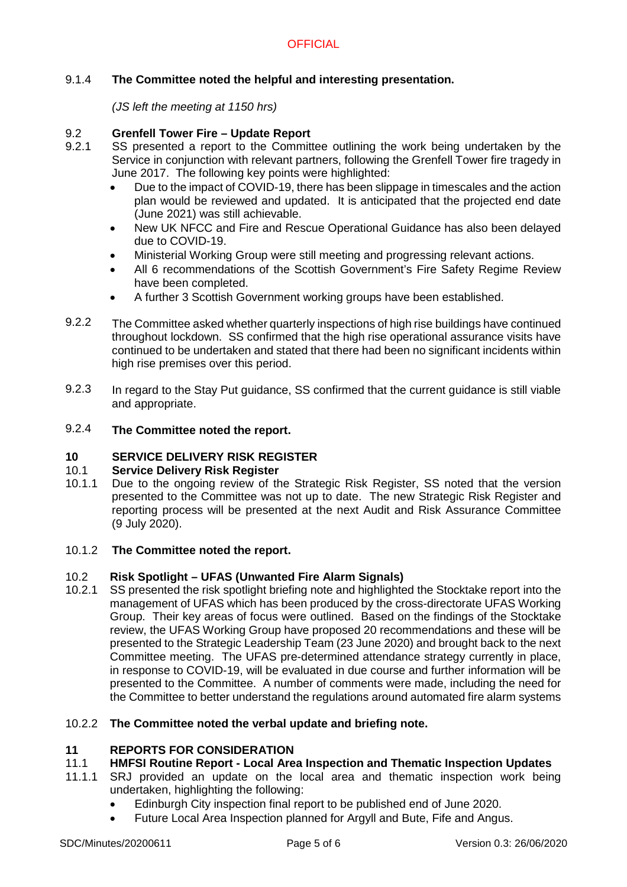# 9.1.4 **The Committee noted the helpful and interesting presentation.**

*(JS left the meeting at 1150 hrs)*

#### 9.2 **Grenfell Tower Fire – Update Report**

- 9.2.1 SS presented a report to the Committee outlining the work being undertaken by the Service in conjunction with relevant partners, following the Grenfell Tower fire tragedy in June 2017. The following key points were highlighted:
	- Due to the impact of COVID-19, there has been slippage in timescales and the action plan would be reviewed and updated. It is anticipated that the projected end date (June 2021) was still achievable.
	- New UK NFCC and Fire and Rescue Operational Guidance has also been delayed due to COVID-19.
	- Ministerial Working Group were still meeting and progressing relevant actions.
	- All 6 recommendations of the Scottish Government's Fire Safety Regime Review have been completed.
	- A further 3 Scottish Government working groups have been established.
- 9.2.2 The Committee asked whether quarterly inspections of high rise buildings have continued throughout lockdown. SS confirmed that the high rise operational assurance visits have continued to be undertaken and stated that there had been no significant incidents within high rise premises over this period.
- 9.2.3 In regard to the Stay Put guidance, SS confirmed that the current guidance is still viable and appropriate.

#### 9.2.4 **The Committee noted the report.**

#### **10 SERVICE DELIVERY RISK REGISTER**

#### 10.1 **Service Delivery Risk Register**

- 10.1.1 Due to the ongoing review of the Strategic Risk Register, SS noted that the version presented to the Committee was not up to date. The new Strategic Risk Register and reporting process will be presented at the next Audit and Risk Assurance Committee (9 July 2020).
- 10.1.2 **The Committee noted the report.**

#### 10.2 **Risk Spotlight – UFAS (Unwanted Fire Alarm Signals)**

10.2.1 SS presented the risk spotlight briefing note and highlighted the Stocktake report into the management of UFAS which has been produced by the cross-directorate UFAS Working Group. Their key areas of focus were outlined. Based on the findings of the Stocktake review, the UFAS Working Group have proposed 20 recommendations and these will be presented to the Strategic Leadership Team (23 June 2020) and brought back to the next Committee meeting. The UFAS pre-determined attendance strategy currently in place, in response to COVID-19, will be evaluated in due course and further information will be presented to the Committee. A number of comments were made, including the need for the Committee to better understand the regulations around automated fire alarm systems

#### 10.2.2 **The Committee noted the verbal update and briefing note.**

#### **11 REPORTS FOR CONSIDERATION**

#### 11.1 **HMFSI Routine Report - Local Area Inspection and Thematic Inspection Updates**

- 11.1.1 SRJ provided an update on the local area and thematic inspection work being undertaken, highlighting the following:
	- Edinburgh City inspection final report to be published end of June 2020.
	- Future Local Area Inspection planned for Argyll and Bute, Fife and Angus.